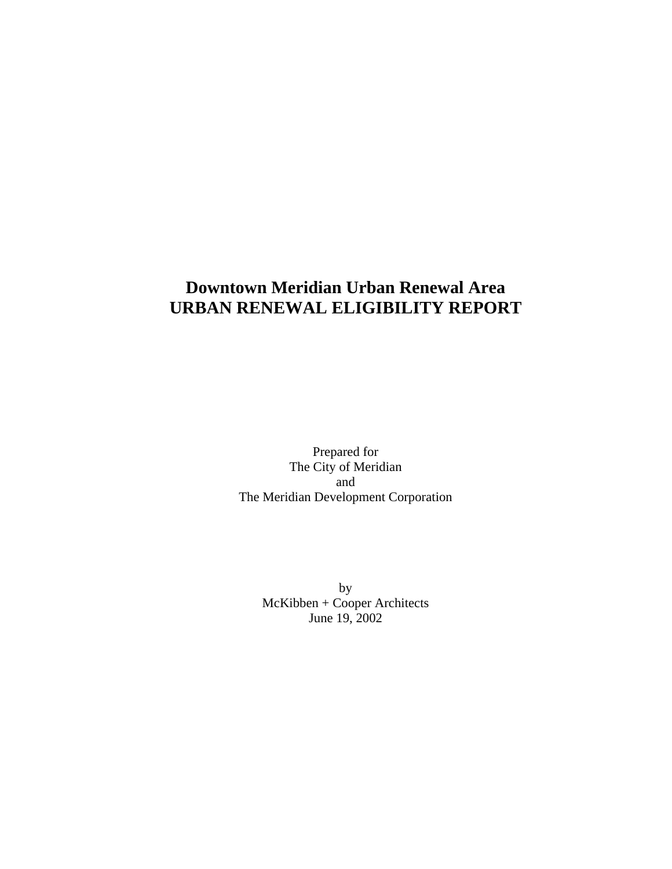# **Downtown Meridian Urban Renewal Area URBAN RENEWAL ELIGIBILITY REPORT**

Prepared for The City of Meridian and The Meridian Development Corporation

> by McKibben + Cooper Architects June 19, 2002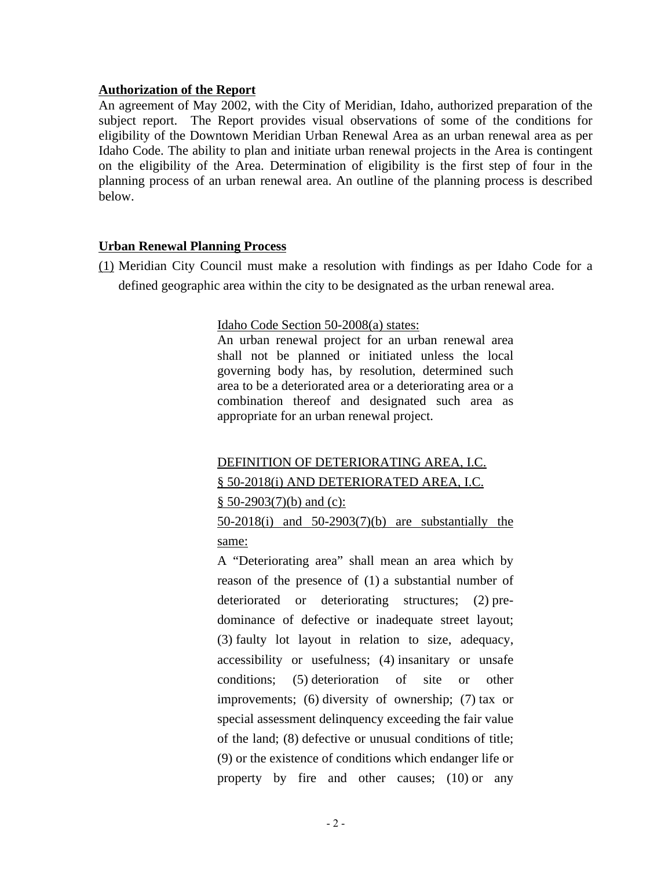#### **Authorization of the Report**

An agreement of May 2002, with the City of Meridian, Idaho, authorized preparation of the subject report. The Report provides visual observations of some of the conditions for eligibility of the Downtown Meridian Urban Renewal Area as an urban renewal area as per Idaho Code. The ability to plan and initiate urban renewal projects in the Area is contingent on the eligibility of the Area. Determination of eligibility is the first step of four in the planning process of an urban renewal area. An outline of the planning process is described below.

#### **Urban Renewal Planning Process**

(1) Meridian City Council must make a resolution with findings as per Idaho Code for a defined geographic area within the city to be designated as the urban renewal area.

#### Idaho Code Section 50-2008(a) states:

An urban renewal project for an urban renewal area shall not be planned or initiated unless the local governing body has, by resolution, determined such area to be a deteriorated area or a deteriorating area or a combination thereof and designated such area as appropriate for an urban renewal project.

#### DEFINITION OF DETERIORATING AREA, I.C.

#### § 50-2018(i) AND DETERIORATED AREA, I.C.

 $§ 50-2903(7)(b)$  and (c):

## 50-2018(i) and 50-2903(7)(b) are substantially the same:

A "Deteriorating area" shall mean an area which by reason of the presence of (1) a substantial number of deteriorated or deteriorating structures; (2) predominance of defective or inadequate street layout; (3) faulty lot layout in relation to size, adequacy, accessibility or usefulness; (4) insanitary or unsafe conditions; (5) deterioration of site or other improvements; (6) diversity of ownership; (7) tax or special assessment delinquency exceeding the fair value of the land; (8) defective or unusual conditions of title; (9) or the existence of conditions which endanger life or property by fire and other causes; (10) or any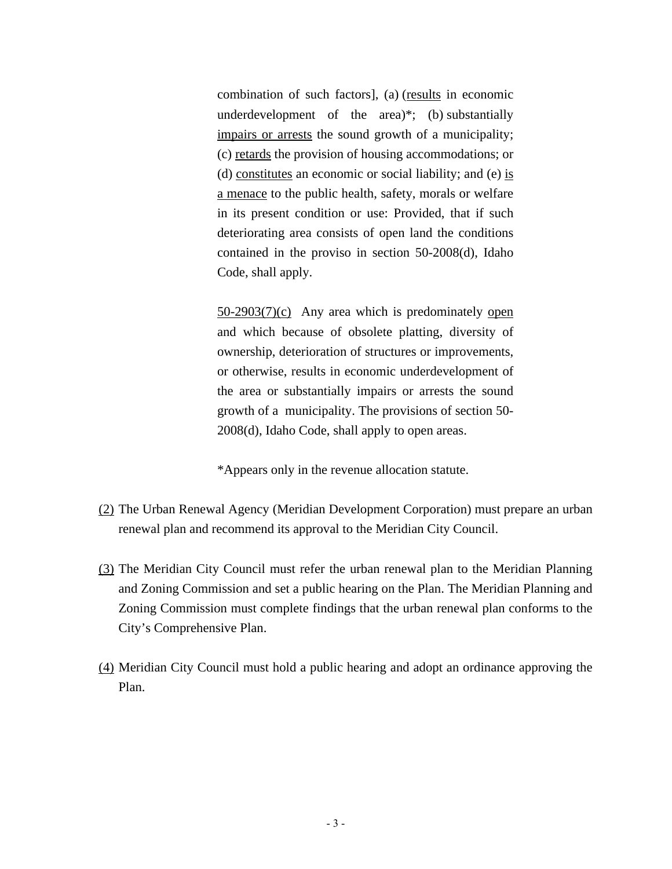combination of such factors], (a) (results in economic underdevelopment of the area)\*; (b) substantially impairs or arrests the sound growth of a municipality; (c) retards the provision of housing accommodations; or (d) constitutes an economic or social liability; and (e) is a menace to the public health, safety, morals or welfare in its present condition or use: Provided, that if such deteriorating area consists of open land the conditions contained in the proviso in section 50-2008(d), Idaho Code, shall apply.

50-2903(7)(c) Any area which is predominately open and which because of obsolete platting, diversity of ownership, deterioration of structures or improvements, or otherwise, results in economic underdevelopment of the area or substantially impairs or arrests the sound growth of a municipality. The provisions of section 50- 2008(d), Idaho Code, shall apply to open areas.

\*Appears only in the revenue allocation statute.

- (2) The Urban Renewal Agency (Meridian Development Corporation) must prepare an urban renewal plan and recommend its approval to the Meridian City Council.
- (3) The Meridian City Council must refer the urban renewal plan to the Meridian Planning and Zoning Commission and set a public hearing on the Plan. The Meridian Planning and Zoning Commission must complete findings that the urban renewal plan conforms to the City's Comprehensive Plan.
- (4) Meridian City Council must hold a public hearing and adopt an ordinance approving the Plan.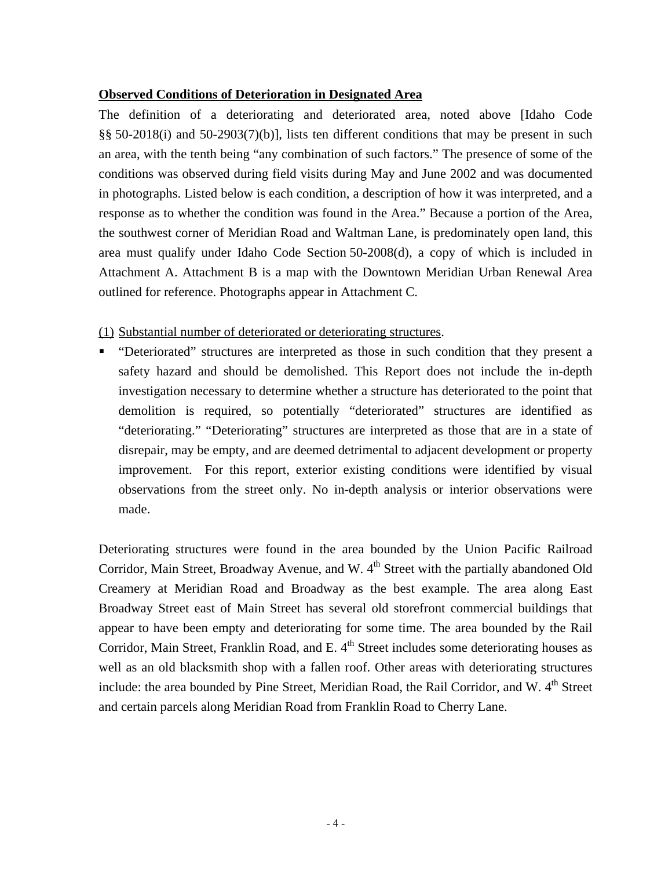#### **Observed Conditions of Deterioration in Designated Area**

The definition of a deteriorating and deteriorated area, noted above [Idaho Code §§ 50-2018(i) and 50-2903(7)(b)], lists ten different conditions that may be present in such an area, with the tenth being "any combination of such factors." The presence of some of the conditions was observed during field visits during May and June 2002 and was documented in photographs. Listed below is each condition, a description of how it was interpreted, and a response as to whether the condition was found in the Area." Because a portion of the Area, the southwest corner of Meridian Road and Waltman Lane, is predominately open land, this area must qualify under Idaho Code Section 50-2008(d), a copy of which is included in Attachment A. Attachment B is a map with the Downtown Meridian Urban Renewal Area outlined for reference. Photographs appear in Attachment C.

#### (1) Substantial number of deteriorated or deteriorating structures.

 "Deteriorated" structures are interpreted as those in such condition that they present a safety hazard and should be demolished. This Report does not include the in-depth investigation necessary to determine whether a structure has deteriorated to the point that demolition is required, so potentially "deteriorated" structures are identified as "deteriorating." "Deteriorating" structures are interpreted as those that are in a state of disrepair, may be empty, and are deemed detrimental to adjacent development or property improvement. For this report, exterior existing conditions were identified by visual observations from the street only. No in-depth analysis or interior observations were made.

Deteriorating structures were found in the area bounded by the Union Pacific Railroad Corridor, Main Street, Broadway Avenue, and W. 4<sup>th</sup> Street with the partially abandoned Old Creamery at Meridian Road and Broadway as the best example. The area along East Broadway Street east of Main Street has several old storefront commercial buildings that appear to have been empty and deteriorating for some time. The area bounded by the Rail Corridor, Main Street, Franklin Road, and E.  $4<sup>th</sup>$  Street includes some deteriorating houses as well as an old blacksmith shop with a fallen roof. Other areas with deteriorating structures include: the area bounded by Pine Street, Meridian Road, the Rail Corridor, and W. 4<sup>th</sup> Street and certain parcels along Meridian Road from Franklin Road to Cherry Lane.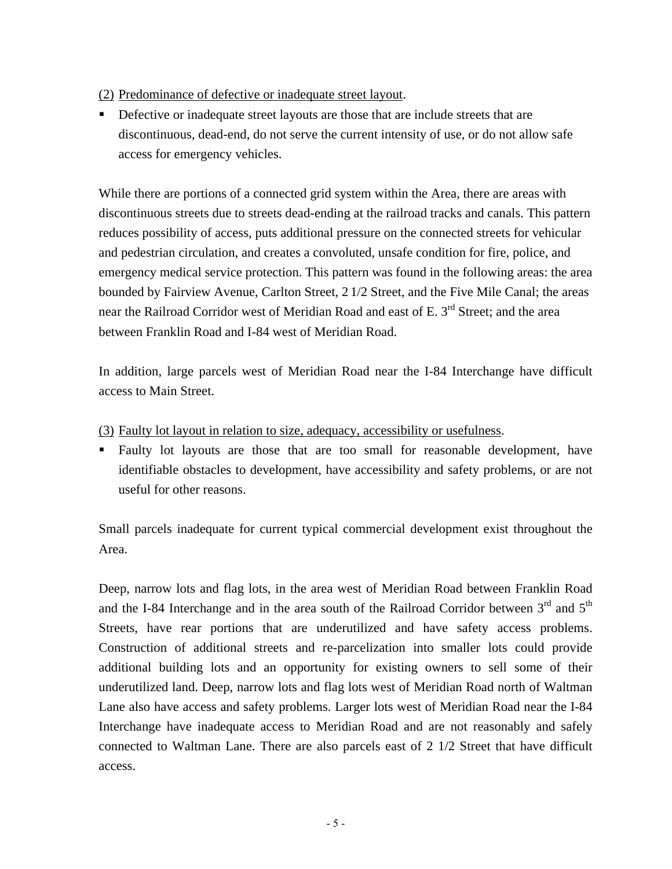#### (2) Predominance of defective or inadequate street layout.

Defective or inadequate street layouts are those that are include streets that are discontinuous, dead-end, do not serve the current intensity of use, or do not allow safe access for emergency vehicles.

While there are portions of a connected grid system within the Area, there are areas with discontinuous streets due to streets dead-ending at the railroad tracks and canals. This pattern reduces possibility of access, puts additional pressure on the connected streets for vehicular and pedestrian circulation, and creates a convoluted, unsafe condition for fire, police, and emergency medical service protection. This pattern was found in the following areas: the area bounded by Fairview Avenue, Carlton Street, 2 1/2 Street, and the Five Mile Canal; the areas near the Railroad Corridor west of Meridian Road and east of E. 3<sup>rd</sup> Street; and the area between Franklin Road and I-84 west of Meridian Road.

In addition, large parcels west of Meridian Road near the I-84 Interchange have difficult access to Main Street.

- (3) Faulty lot layout in relation to size, adequacy, accessibility or usefulness.
- Faulty lot layouts are those that are too small for reasonable development, have identifiable obstacles to development, have accessibility and safety problems, or are not useful for other reasons.

Small parcels inadequate for current typical commercial development exist throughout the Area.

Deep, narrow lots and flag lots, in the area west of Meridian Road between Franklin Road and the I-84 Interchange and in the area south of the Railroad Corridor between  $3<sup>rd</sup>$  and  $5<sup>th</sup>$ Streets, have rear portions that are underutilized and have safety access problems. Construction of additional streets and re-parcelization into smaller lots could provide additional building lots and an opportunity for existing owners to sell some of their underutilized land. Deep, narrow lots and flag lots west of Meridian Road north of Waltman Lane also have access and safety problems. Larger lots west of Meridian Road near the I-84 Interchange have inadequate access to Meridian Road and are not reasonably and safely connected to Waltman Lane. There are also parcels east of 2 1/2 Street that have difficult access.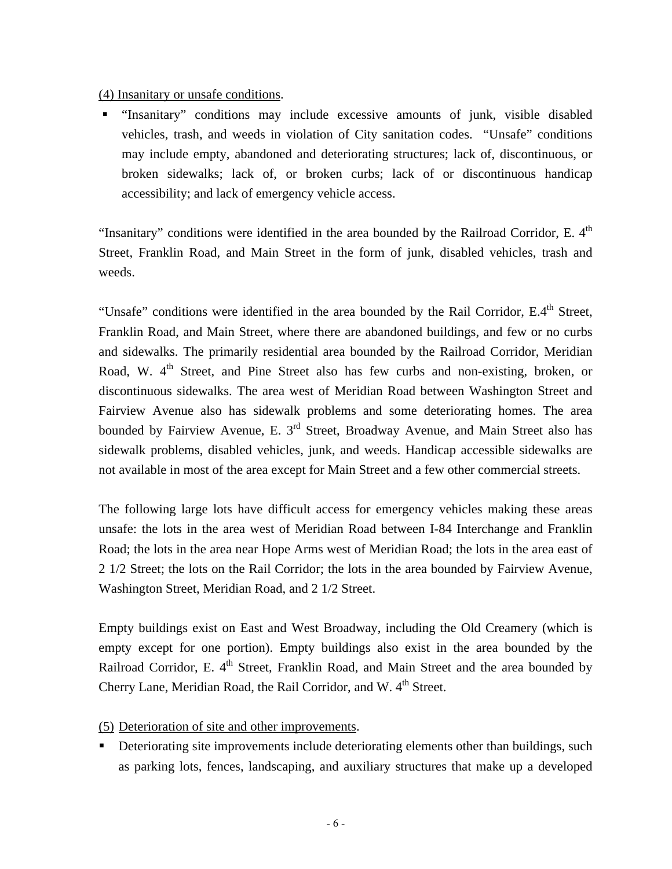(4) Insanitary or unsafe conditions.

 "Insanitary" conditions may include excessive amounts of junk, visible disabled vehicles, trash, and weeds in violation of City sanitation codes. "Unsafe" conditions may include empty, abandoned and deteriorating structures; lack of, discontinuous, or broken sidewalks; lack of, or broken curbs; lack of or discontinuous handicap accessibility; and lack of emergency vehicle access.

"Insanitary" conditions were identified in the area bounded by the Railroad Corridor, E.  $4<sup>th</sup>$ Street, Franklin Road, and Main Street in the form of junk, disabled vehicles, trash and weeds.

"Unsafe" conditions were identified in the area bounded by the Rail Corridor,  $E.4<sup>th</sup>$  Street, Franklin Road, and Main Street, where there are abandoned buildings, and few or no curbs and sidewalks. The primarily residential area bounded by the Railroad Corridor, Meridian Road, W. 4<sup>th</sup> Street, and Pine Street also has few curbs and non-existing, broken, or discontinuous sidewalks. The area west of Meridian Road between Washington Street and Fairview Avenue also has sidewalk problems and some deteriorating homes. The area bounded by Fairview Avenue, E. 3<sup>rd</sup> Street, Broadway Avenue, and Main Street also has sidewalk problems, disabled vehicles, junk, and weeds. Handicap accessible sidewalks are not available in most of the area except for Main Street and a few other commercial streets.

The following large lots have difficult access for emergency vehicles making these areas unsafe: the lots in the area west of Meridian Road between I-84 Interchange and Franklin Road; the lots in the area near Hope Arms west of Meridian Road; the lots in the area east of 2 1/2 Street; the lots on the Rail Corridor; the lots in the area bounded by Fairview Avenue, Washington Street, Meridian Road, and 2 1/2 Street.

Empty buildings exist on East and West Broadway, including the Old Creamery (which is empty except for one portion). Empty buildings also exist in the area bounded by the Railroad Corridor, E. 4<sup>th</sup> Street, Franklin Road, and Main Street and the area bounded by Cherry Lane, Meridian Road, the Rail Corridor, and W. 4<sup>th</sup> Street.

(5) Deterioration of site and other improvements.

Deteriorating site improvements include deteriorating elements other than buildings, such as parking lots, fences, landscaping, and auxiliary structures that make up a developed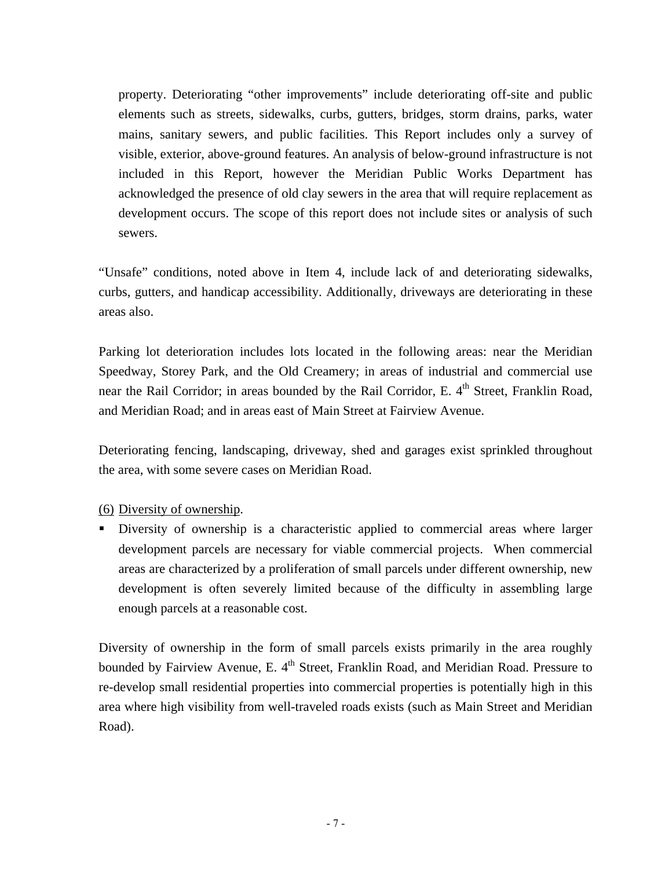property. Deteriorating "other improvements" include deteriorating off-site and public elements such as streets, sidewalks, curbs, gutters, bridges, storm drains, parks, water mains, sanitary sewers, and public facilities. This Report includes only a survey of visible, exterior, above-ground features. An analysis of below-ground infrastructure is not included in this Report, however the Meridian Public Works Department has acknowledged the presence of old clay sewers in the area that will require replacement as development occurs. The scope of this report does not include sites or analysis of such sewers.

"Unsafe" conditions, noted above in Item 4, include lack of and deteriorating sidewalks, curbs, gutters, and handicap accessibility. Additionally, driveways are deteriorating in these areas also.

Parking lot deterioration includes lots located in the following areas: near the Meridian Speedway, Storey Park, and the Old Creamery; in areas of industrial and commercial use near the Rail Corridor; in areas bounded by the Rail Corridor, E.  $4<sup>th</sup>$  Street, Franklin Road, and Meridian Road; and in areas east of Main Street at Fairview Avenue.

Deteriorating fencing, landscaping, driveway, shed and garages exist sprinkled throughout the area, with some severe cases on Meridian Road.

## (6) Diversity of ownership.

 Diversity of ownership is a characteristic applied to commercial areas where larger development parcels are necessary for viable commercial projects. When commercial areas are characterized by a proliferation of small parcels under different ownership, new development is often severely limited because of the difficulty in assembling large enough parcels at a reasonable cost.

Diversity of ownership in the form of small parcels exists primarily in the area roughly bounded by Fairview Avenue, E. 4<sup>th</sup> Street, Franklin Road, and Meridian Road. Pressure to re-develop small residential properties into commercial properties is potentially high in this area where high visibility from well-traveled roads exists (such as Main Street and Meridian Road).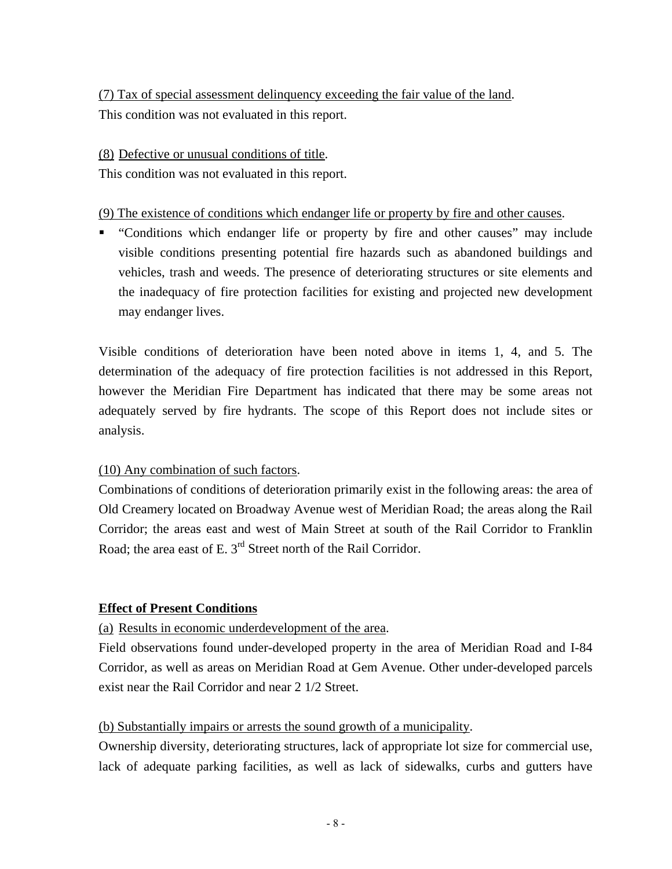(7) Tax of special assessment delinquency exceeding the fair value of the land. This condition was not evaluated in this report.

#### (8) Defective or unusual conditions of title.

This condition was not evaluated in this report.

#### (9) The existence of conditions which endanger life or property by fire and other causes.

• "Conditions which endanger life or property by fire and other causes" may include visible conditions presenting potential fire hazards such as abandoned buildings and vehicles, trash and weeds. The presence of deteriorating structures or site elements and the inadequacy of fire protection facilities for existing and projected new development may endanger lives.

Visible conditions of deterioration have been noted above in items 1, 4, and 5. The determination of the adequacy of fire protection facilities is not addressed in this Report, however the Meridian Fire Department has indicated that there may be some areas not adequately served by fire hydrants. The scope of this Report does not include sites or analysis.

## (10) Any combination of such factors.

Combinations of conditions of deterioration primarily exist in the following areas: the area of Old Creamery located on Broadway Avenue west of Meridian Road; the areas along the Rail Corridor; the areas east and west of Main Street at south of the Rail Corridor to Franklin Road; the area east of E. 3<sup>rd</sup> Street north of the Rail Corridor.

## **Effect of Present Conditions**

## (a) Results in economic underdevelopment of the area.

Field observations found under-developed property in the area of Meridian Road and I-84 Corridor, as well as areas on Meridian Road at Gem Avenue. Other under-developed parcels exist near the Rail Corridor and near 2 1/2 Street.

## (b) Substantially impairs or arrests the sound growth of a municipality.

Ownership diversity, deteriorating structures, lack of appropriate lot size for commercial use, lack of adequate parking facilities, as well as lack of sidewalks, curbs and gutters have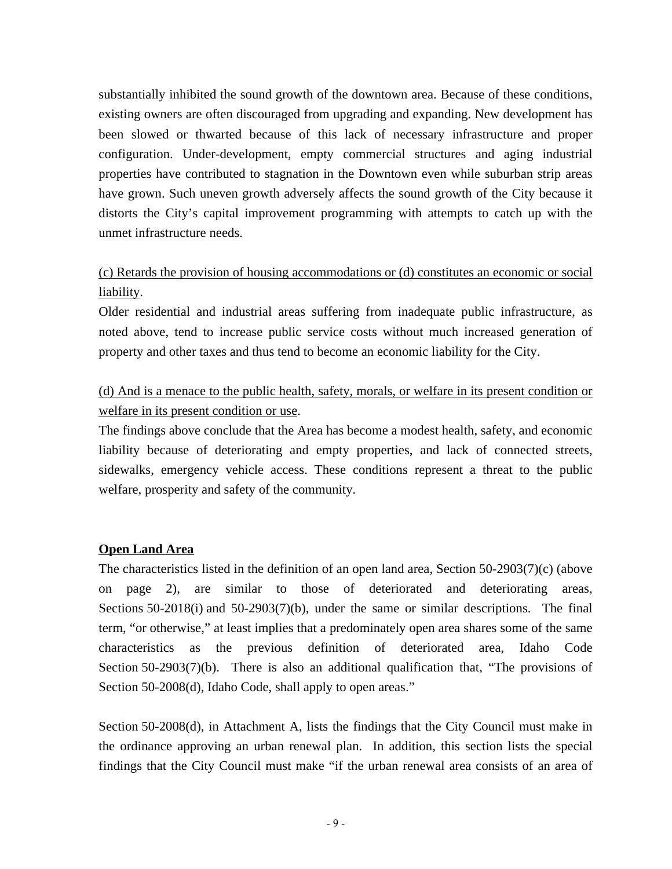substantially inhibited the sound growth of the downtown area. Because of these conditions, existing owners are often discouraged from upgrading and expanding. New development has been slowed or thwarted because of this lack of necessary infrastructure and proper configuration. Under-development, empty commercial structures and aging industrial properties have contributed to stagnation in the Downtown even while suburban strip areas have grown. Such uneven growth adversely affects the sound growth of the City because it distorts the City's capital improvement programming with attempts to catch up with the unmet infrastructure needs.

## (c) Retards the provision of housing accommodations or (d) constitutes an economic or social liability.

Older residential and industrial areas suffering from inadequate public infrastructure, as noted above, tend to increase public service costs without much increased generation of property and other taxes and thus tend to become an economic liability for the City.

## (d) And is a menace to the public health, safety, morals, or welfare in its present condition or welfare in its present condition or use.

The findings above conclude that the Area has become a modest health, safety, and economic liability because of deteriorating and empty properties, and lack of connected streets, sidewalks, emergency vehicle access. These conditions represent a threat to the public welfare, prosperity and safety of the community.

## **Open Land Area**

The characteristics listed in the definition of an open land area, Section 50-2903(7)(c) (above on page 2), are similar to those of deteriorated and deteriorating areas, Sections 50-2018(i) and 50-2903(7)(b), under the same or similar descriptions. The final term, "or otherwise," at least implies that a predominately open area shares some of the same characteristics as the previous definition of deteriorated area, Idaho Code Section 50-2903(7)(b). There is also an additional qualification that, "The provisions of Section 50-2008(d), Idaho Code, shall apply to open areas."

Section 50-2008(d), in Attachment A, lists the findings that the City Council must make in the ordinance approving an urban renewal plan. In addition, this section lists the special findings that the City Council must make "if the urban renewal area consists of an area of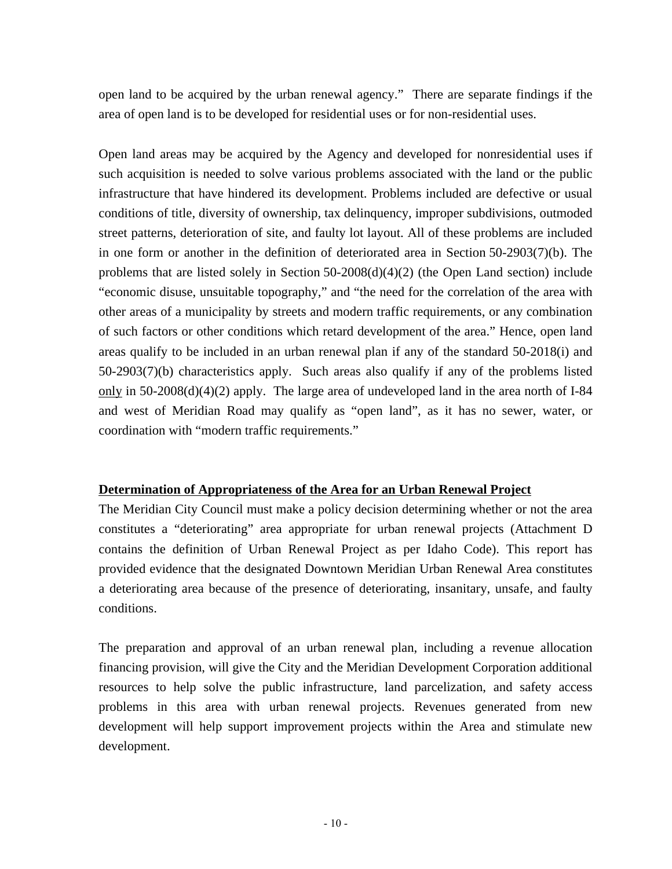open land to be acquired by the urban renewal agency." There are separate findings if the area of open land is to be developed for residential uses or for non-residential uses.

Open land areas may be acquired by the Agency and developed for nonresidential uses if such acquisition is needed to solve various problems associated with the land or the public infrastructure that have hindered its development. Problems included are defective or usual conditions of title, diversity of ownership, tax delinquency, improper subdivisions, outmoded street patterns, deterioration of site, and faulty lot layout. All of these problems are included in one form or another in the definition of deteriorated area in Section 50-2903(7)(b). The problems that are listed solely in Section 50-2008(d)(4)(2) (the Open Land section) include "economic disuse, unsuitable topography," and "the need for the correlation of the area with other areas of a municipality by streets and modern traffic requirements, or any combination of such factors or other conditions which retard development of the area." Hence, open land areas qualify to be included in an urban renewal plan if any of the standard 50-2018(i) and 50-2903(7)(b) characteristics apply. Such areas also qualify if any of the problems listed only in  $50-2008(d)(4)(2)$  apply. The large area of undeveloped land in the area north of I-84 and west of Meridian Road may qualify as "open land", as it has no sewer, water, or coordination with "modern traffic requirements."

## **Determination of Appropriateness of the Area for an Urban Renewal Project**

The Meridian City Council must make a policy decision determining whether or not the area constitutes a "deteriorating" area appropriate for urban renewal projects (Attachment D contains the definition of Urban Renewal Project as per Idaho Code). This report has provided evidence that the designated Downtown Meridian Urban Renewal Area constitutes a deteriorating area because of the presence of deteriorating, insanitary, unsafe, and faulty conditions.

The preparation and approval of an urban renewal plan, including a revenue allocation financing provision, will give the City and the Meridian Development Corporation additional resources to help solve the public infrastructure, land parcelization, and safety access problems in this area with urban renewal projects. Revenues generated from new development will help support improvement projects within the Area and stimulate new development.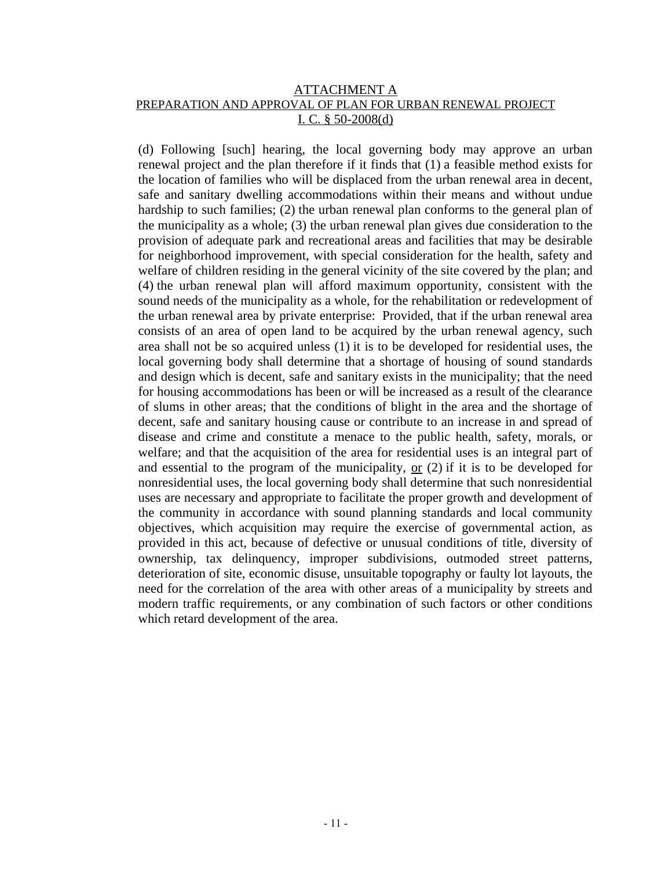#### ATTACHMENT A PREPARATION AND APPROVAL OF PLAN FOR URBAN RENEWAL PROJECT I. C. § 50-2008(d)

(d) Following [such] hearing, the local governing body may approve an urban renewal project and the plan therefore if it finds that (1) a feasible method exists for the location of families who will be displaced from the urban renewal area in decent, safe and sanitary dwelling accommodations within their means and without undue hardship to such families; (2) the urban renewal plan conforms to the general plan of the municipality as a whole; (3) the urban renewal plan gives due consideration to the provision of adequate park and recreational areas and facilities that may be desirable for neighborhood improvement, with special consideration for the health, safety and welfare of children residing in the general vicinity of the site covered by the plan; and (4) the urban renewal plan will afford maximum opportunity, consistent with the sound needs of the municipality as a whole, for the rehabilitation or redevelopment of the urban renewal area by private enterprise: Provided, that if the urban renewal area consists of an area of open land to be acquired by the urban renewal agency, such area shall not be so acquired unless (1) it is to be developed for residential uses, the local governing body shall determine that a shortage of housing of sound standards and design which is decent, safe and sanitary exists in the municipality; that the need for housing accommodations has been or will be increased as a result of the clearance of slums in other areas; that the conditions of blight in the area and the shortage of decent, safe and sanitary housing cause or contribute to an increase in and spread of disease and crime and constitute a menace to the public health, safety, morals, or welfare; and that the acquisition of the area for residential uses is an integral part of and essential to the program of the municipality,  $or (2)$  if it is to be developed for nonresidential uses, the local governing body shall determine that such nonresidential uses are necessary and appropriate to facilitate the proper growth and development of the community in accordance with sound planning standards and local community objectives, which acquisition may require the exercise of governmental action, as provided in this act, because of defective or unusual conditions of title, diversity of ownership, tax delinquency, improper subdivisions, outmoded street patterns, deterioration of site, economic disuse, unsuitable topography or faulty lot layouts, the need for the correlation of the area with other areas of a municipality by streets and modern traffic requirements, or any combination of such factors or other conditions which retard development of the area.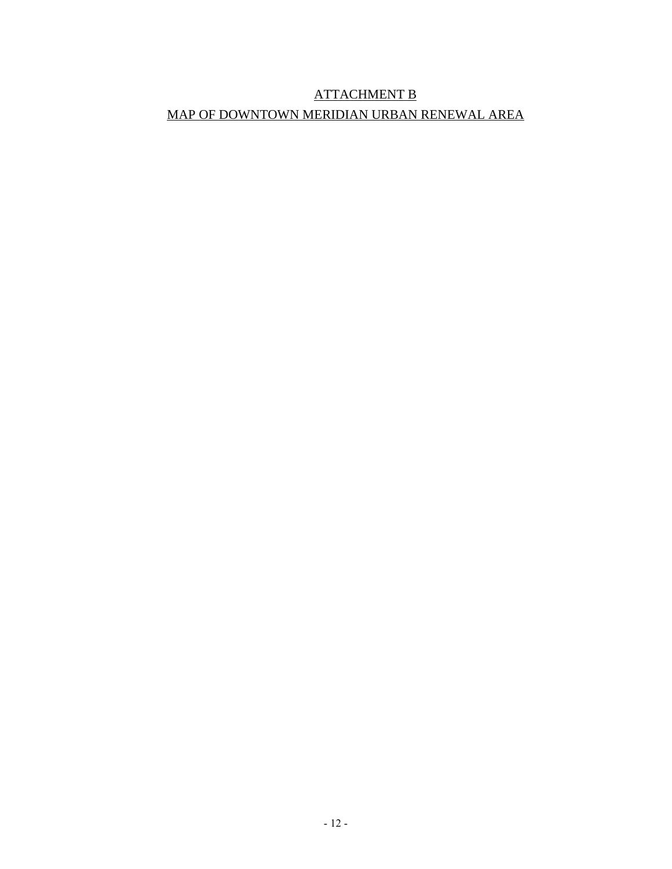# ATTACHMENT B MAP OF DOWNTOWN MERIDIAN URBAN RENEWAL AREA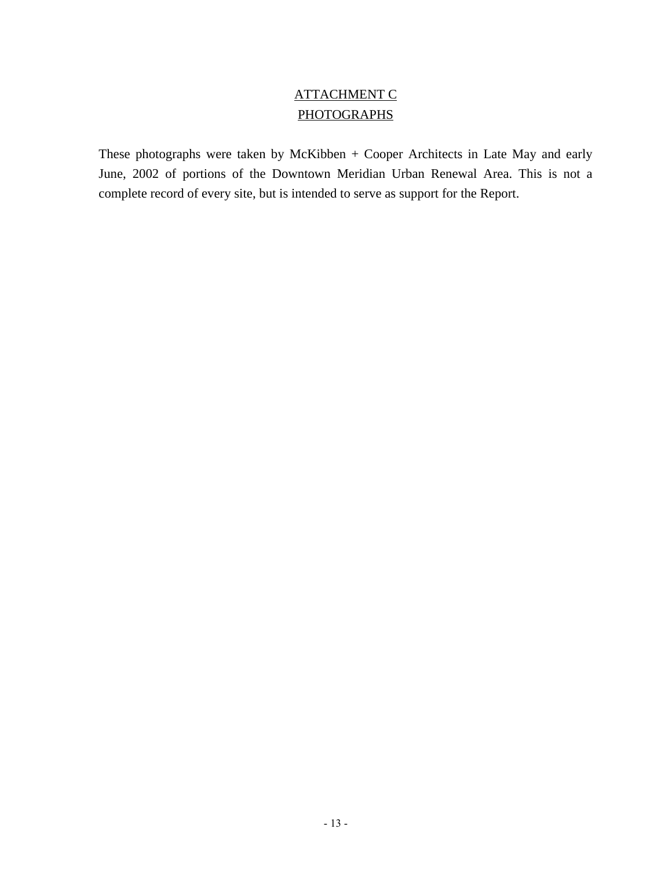## ATTACHMENT C **PHOTOGRAPHS**

These photographs were taken by McKibben + Cooper Architects in Late May and early June, 2002 of portions of the Downtown Meridian Urban Renewal Area. This is not a complete record of every site, but is intended to serve as support for the Report.